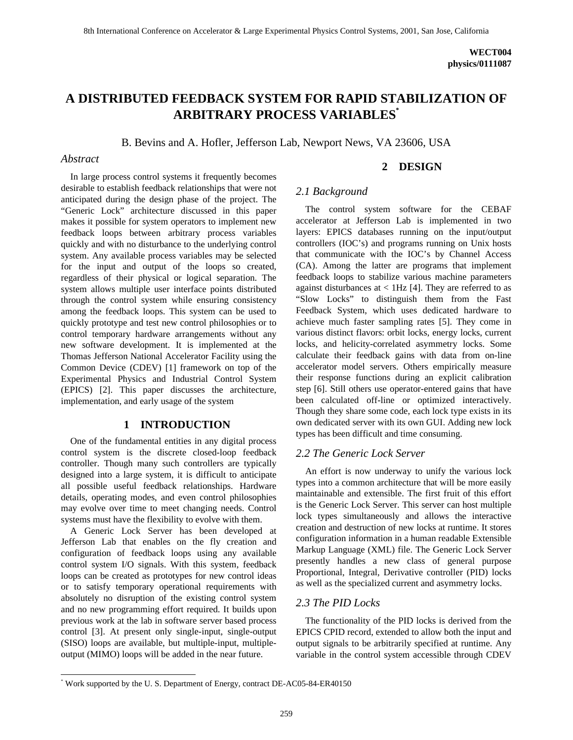# **A DISTRIBUTED FEEDBACK SYSTEM FOR RAPID STABILIZATION OF ARBITRARY PROCESS VARIABLES\***

B. Bevins and A. Hofler, Jefferson Lab, Newport News, VA 23606, USA

## *Abstract*

-

In large process control systems it frequently becomes desirable to establish feedback relationships that were not anticipated during the design phase of the project. The "Generic Lock" architecture discussed in this paper makes it possible for system operators to implement new feedback loops between arbitrary process variables quickly and with no disturbance to the underlying control system. Any available process variables may be selected for the input and output of the loops so created, regardless of their physical or logical separation. The system allows multiple user interface points distributed through the control system while ensuring consistency among the feedback loops. This system can be used to quickly prototype and test new control philosophies or to control temporary hardware arrangements without any new software development. It is implemented at the Thomas Jefferson National Accelerator Facility using the Common Device (CDEV) [1] framework on top of the Experimental Physics and Industrial Control System (EPICS) [2]. This paper discusses the architecture, implementation, and early usage of the system

## **1 INTRODUCTION**

One of the fundamental entities in any digital process control system is the discrete closed-loop feedback controller. Though many such controllers are typically designed into a large system, it is difficult to anticipate all possible useful feedback relationships. Hardware details, operating modes, and even control philosophies may evolve over time to meet changing needs. Control systems must have the flexibility to evolve with them.

A Generic Lock Server has been developed at Jefferson Lab that enables on the fly creation and configuration of feedback loops using any available control system I/O signals. With this system, feedback loops can be created as prototypes for new control ideas or to satisfy temporary operational requirements with absolutely no disruption of the existing control system and no new programming effort required. It builds upon previous work at the lab in software server based process control [3]. At present only single-input, single-output (SISO) loops are available, but multiple-input, multipleoutput (MIMO) loops will be added in the near future.

## **2 DESIGN**

## *2.1 Background*

The control system software for the CEBAF accelerator at Jefferson Lab is implemented in two layers: EPICS databases running on the input/output controllers (IOC's) and programs running on Unix hosts that communicate with the IOC's by Channel Access (CA). Among the latter are programs that implement feedback loops to stabilize various machine parameters against disturbances at  $<$  1Hz [4]. They are referred to as "Slow Locks" to distinguish them from the Fast Feedback System, which uses dedicated hardware to achieve much faster sampling rates [5]. They come in various distinct flavors: orbit locks, energy locks, current locks, and helicity-correlated asymmetry locks. Some calculate their feedback gains with data from on-line accelerator model servers. Others empirically measure their response functions during an explicit calibration step [6]. Still others use operator-entered gains that have been calculated off-line or optimized interactively. Though they share some code, each lock type exists in its own dedicated server with its own GUI. Adding new lock types has been difficult and time consuming.

#### *2.2 The Generic Lock Server*

An effort is now underway to unify the various lock types into a common architecture that will be more easily maintainable and extensible. The first fruit of this effort is the Generic Lock Server. This server can host multiple lock types simultaneously and allows the interactive creation and destruction of new locks at runtime. It stores configuration information in a human readable Extensible Markup Language (XML) file. The Generic Lock Server presently handles a new class of general purpose Proportional, Integral, Derivative controller (PID) locks as well as the specialized current and asymmetry locks.

#### *2.3 The PID Locks*

The functionality of the PID locks is derived from the EPICS CPID record, extended to allow both the input and output signals to be arbitrarily specified at runtime. Any variable in the control system accessible through CDEV

<sup>\*</sup> Work supported by the U. S. Department of Energy, contract DE-AC05-84-ER40150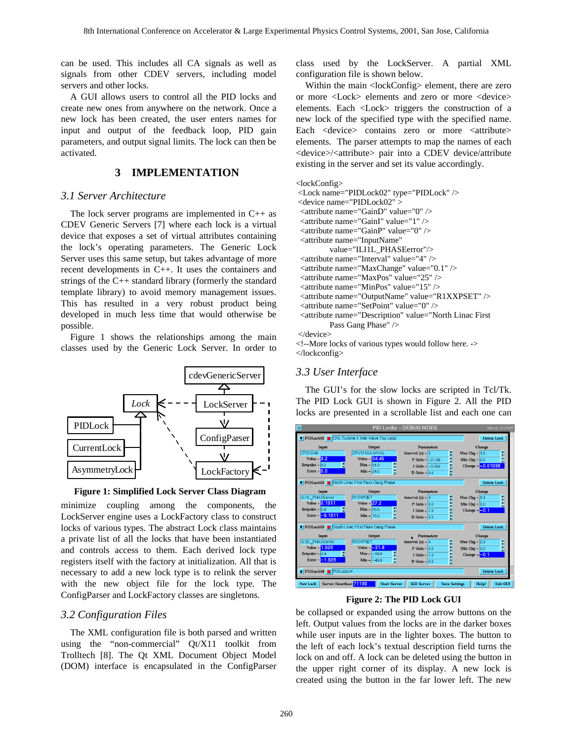can be used. This includes all CA signals as well as signals from other CDEV servers, including model servers and other locks.

A GUI allows users to control all the PID locks and create new ones from anywhere on the network. Once a new lock has been created, the user enters names for input and output of the feedback loop, PID gain parameters, and output signal limits. The lock can then be activated.

# **3 IMPLEMENTATION**

## *3.1 Server Architecture*

The lock server programs are implemented in C++ as CDEV Generic Servers [7] where each lock is a virtual device that exposes a set of virtual attributes containing the lock's operating parameters. The Generic Lock Server uses this same setup, but takes advantage of more recent developments in C++. It uses the containers and strings of the C++ standard library (formerly the standard template library) to avoid memory management issues. This has resulted in a very robust product being developed in much less time that would otherwise be possible.

Figure 1 shows the relationships among the main classes used by the Generic Lock Server. In order to



**Figure 1: Simplified Lock Server Class Diagram** 

minimize coupling among the components, the LockServer engine uses a LockFactory class to construct locks of various types. The abstract Lock class maintains a private list of all the locks that have been instantiated and controls access to them. Each derived lock type registers itself with the factory at initialization. All that is necessary to add a new lock type is to relink the server with the new object file for the lock type. The ConfigParser and LockFactory classes are singletons.

# *3.2 Configuration Files*

The XML configuration file is both parsed and written using the "non-commercial" Qt/X11 toolkit from Trolltech [8]. The Qt XML Document Object Model (DOM) interface is encapsulated in the ConfigParser class used by the LockServer. A partial XML configuration file is shown below.

Within the main <lockConfig> element, there are zero or more <Lock> elements and zero or more <device> elements. Each <Lock> triggers the construction of a new lock of the specified type with the specified name. Each <device> contains zero or more <attribute> elements. The parser attempts to map the names of each <device>/<attribute> pair into a CDEV device/attribute existing in the server and set its value accordingly.

#### <lockConfig> <Lock name="PIDLock02" type="PIDLock" /> <device name="PIDLock02" > <attribute name="GainD" value="0" /> <attribute name="GainI" value="1" /> <attribute name="GainP" value="0" /> <attribute name="InputName" value="ILI1L\_PHASEerror"/> <attribute name="Interval" value="4" /> <attribute name="MaxChange" value="0.1" /> <attribute name="MaxPos" value="25" /> <attribute name="MinPos" value="15" /> <attribute name="OutputName" value="R1XXPSET" /> <attribute name="SetPoint" value="0" /> <attribute name="Description" value="North Linac First Pass Gang Phase" /> </device> <!--More locks of various types would follow here. ->

# </lockconfig>

#### *3.3 User Interface*

The GUI's for the slow locks are scripted in Tcl/Tk. The PID Lock GUI is shown in Figure 2. All the PID locks are presented in a scrollable list and each one can



#### **Figure 2: The PID Lock GUI**

be collapsed or expanded using the arrow buttons on the left. Output values from the locks are in the darker boxes while user inputs are in the lighter boxes. The button to the left of each lock's textual description field turns the lock on and off. A lock can be deleted using the button in the upper right corner of its display. A new lock is created using the button in the far lower left. The new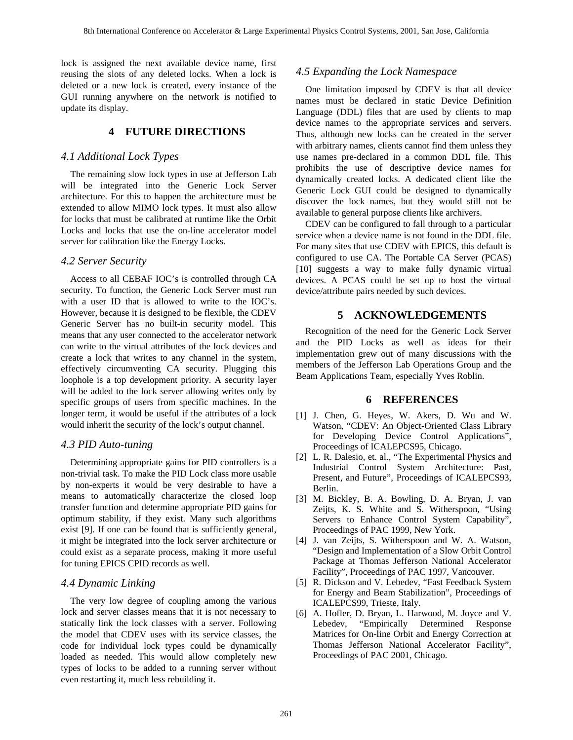lock is assigned the next available device name, first reusing the slots of any deleted locks. When a lock is deleted or a new lock is created, every instance of the GUI running anywhere on the network is notified to update its display.

## **4 FUTURE DIRECTIONS**

#### *4.1 Additional Lock Types*

The remaining slow lock types in use at Jefferson Lab will be integrated into the Generic Lock Server architecture. For this to happen the architecture must be extended to allow MIMO lock types. It must also allow for locks that must be calibrated at runtime like the Orbit Locks and locks that use the on-line accelerator model server for calibration like the Energy Locks.

#### *4.2 Server Security*

Access to all CEBAF IOC's is controlled through CA security. To function, the Generic Lock Server must run with a user ID that is allowed to write to the IOC's. However, because it is designed to be flexible, the CDEV Generic Server has no built-in security model. This means that any user connected to the accelerator network can write to the virtual attributes of the lock devices and create a lock that writes to any channel in the system, effectively circumventing CA security. Plugging this loophole is a top development priority. A security layer will be added to the lock server allowing writes only by specific groups of users from specific machines. In the longer term, it would be useful if the attributes of a lock would inherit the security of the lock's output channel.

## *4.3 PID Auto-tuning*

Determining appropriate gains for PID controllers is a non-trivial task. To make the PID Lock class more usable by non-experts it would be very desirable to have a means to automatically characterize the closed loop transfer function and determine appropriate PID gains for optimum stability, if they exist. Many such algorithms exist [9]. If one can be found that is sufficiently general, it might be integrated into the lock server architecture or could exist as a separate process, making it more useful for tuning EPICS CPID records as well.

## *4.4 Dynamic Linking*

The very low degree of coupling among the various lock and server classes means that it is not necessary to statically link the lock classes with a server. Following the model that CDEV uses with its service classes, the code for individual lock types could be dynamically loaded as needed. This would allow completely new types of locks to be added to a running server without even restarting it, much less rebuilding it.

## *4.5 Expanding the Lock Namespace*

One limitation imposed by CDEV is that all device names must be declared in static Device Definition Language (DDL) files that are used by clients to map device names to the appropriate services and servers. Thus, although new locks can be created in the server with arbitrary names, clients cannot find them unless they use names pre-declared in a common DDL file. This prohibits the use of descriptive device names for dynamically created locks. A dedicated client like the Generic Lock GUI could be designed to dynamically discover the lock names, but they would still not be available to general purpose clients like archivers.

CDEV can be configured to fall through to a particular service when a device name is not found in the DDL file. For many sites that use CDEV with EPICS, this default is configured to use CA. The Portable CA Server (PCAS) [10] suggests a way to make fully dynamic virtual devices. A PCAS could be set up to host the virtual device/attribute pairs needed by such devices.

#### **5 ACKNOWLEDGEMENTS**

Recognition of the need for the Generic Lock Server and the PID Locks as well as ideas for their implementation grew out of many discussions with the members of the Jefferson Lab Operations Group and the Beam Applications Team, especially Yves Roblin.

#### **6 REFERENCES**

- [1] J. Chen, G. Heyes, W. Akers, D. Wu and W. Watson, "CDEV: An Object-Oriented Class Library for Developing Device Control Applications", Proceedings of ICALEPCS95, Chicago.
- [2] L. R. Dalesio, et. al., "The Experimental Physics and Industrial Control System Architecture: Past, Present, and Future", Proceedings of ICALEPCS93, Berlin.
- [3] M. Bickley, B. A. Bowling, D. A. Bryan, J. van Zeijts, K. S. White and S. Witherspoon, "Using Servers to Enhance Control System Capability", Proceedings of PAC 1999, New York.
- [4] J. van Zeijts, S. Witherspoon and W. A. Watson, "Design and Implementation of a Slow Orbit Control Package at Thomas Jefferson National Accelerator Facility", Proceedings of PAC 1997, Vancouver.
- [5] R. Dickson and V. Lebedev, "Fast Feedback System for Energy and Beam Stabilization", Proceedings of ICALEPCS99, Trieste, Italy.
- [6] A. Hofler, D. Bryan, L. Harwood, M. Joyce and V. Lebedev, "Empirically Determined Response Matrices for On-line Orbit and Energy Correction at Thomas Jefferson National Accelerator Facility", Proceedings of PAC 2001, Chicago.